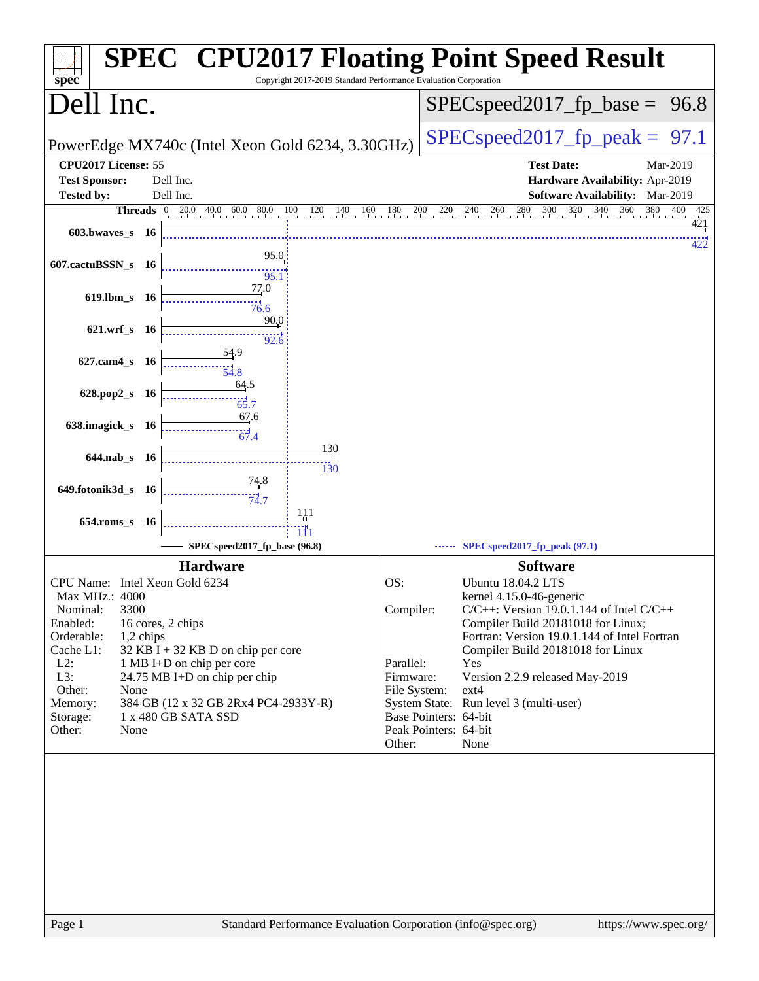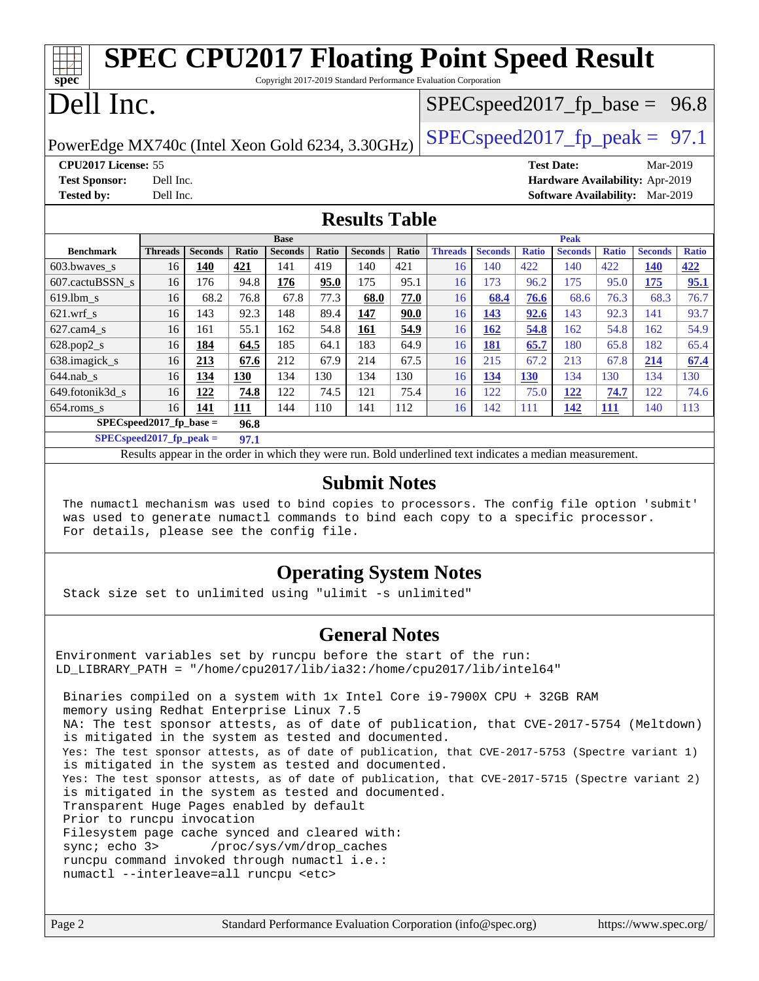| <b>SPEC CPU2017 Floating Point Speed Result</b>                                      |                |                |       |                |       |                |       |                                  |                |              |                   |              |                                        |              |
|--------------------------------------------------------------------------------------|----------------|----------------|-------|----------------|-------|----------------|-------|----------------------------------|----------------|--------------|-------------------|--------------|----------------------------------------|--------------|
| $spec^*$<br>Copyright 2017-2019 Standard Performance Evaluation Corporation          |                |                |       |                |       |                |       |                                  |                |              |                   |              |                                        |              |
| Dell Inc.                                                                            |                |                |       |                |       |                |       | $SPEC speed2017_fp\_base = 96.8$ |                |              |                   |              |                                        |              |
| $SPEC speed2017_fp\_peak = 97.1$<br>PowerEdge MX740c (Intel Xeon Gold 6234, 3.30GHz) |                |                |       |                |       |                |       |                                  |                |              |                   |              |                                        |              |
| CPU2017 License: 55                                                                  |                |                |       |                |       |                |       |                                  |                |              | <b>Test Date:</b> |              | Mar-2019                               |              |
| <b>Test Sponsor:</b>                                                                 | Dell Inc.      |                |       |                |       |                |       |                                  |                |              |                   |              | Hardware Availability: Apr-2019        |              |
| <b>Tested by:</b>                                                                    | Dell Inc.      |                |       |                |       |                |       |                                  |                |              |                   |              | <b>Software Availability:</b> Mar-2019 |              |
| <b>Results Table</b>                                                                 |                |                |       |                |       |                |       |                                  |                |              |                   |              |                                        |              |
|                                                                                      |                |                |       | <b>Base</b>    |       |                |       |                                  |                |              | Peak              |              |                                        |              |
| <b>Benchmark</b>                                                                     | <b>Threads</b> | <b>Seconds</b> | Ratio | <b>Seconds</b> | Ratio | <b>Seconds</b> | Ratio | <b>Threads</b>                   | <b>Seconds</b> | <b>Ratio</b> | <b>Seconds</b>    | <b>Ratio</b> | <b>Seconds</b>                         | <b>Ratio</b> |
| 603.bwaves_s                                                                         | 16             | 140            | 421   | 141            | 419   | 140            | 421   | 16                               | 140            | 422          | 140               | 422          | <b>140</b>                             | 422          |
| 607.cactuBSSN s                                                                      | 16             | 176            | 94.8  | 176            | 95.0  | 175            | 95.1  | 16                               | 173            | 96.2         | 175               | 95.0         | 175                                    | 95.1         |
| $619.1$ bm s                                                                         | 16             | 68.2           | 76.8  | 67.8           | 77.3  | 68.0           | 77.0  | 16                               | 68.4           | 76.6         | 68.6              | 76.3         | 68.3                                   | 76.7         |
| $621$ .wrf s                                                                         | 16             | 143            | 92.3  | 148            | 89.4  | 147            | 90.0  | 16                               | 143            | 92.6         | 143               | 92.3         | 141                                    | 93.7         |
| $627$ .cam $4 \text{ s}$                                                             | 16             | 161            | 55.1  | 162            | 54.8  | 161            | 54.9  | 16                               | 162            | 54.8         | 162               | 54.8         | 162                                    | 54.9         |
| 628.pop2_s                                                                           | 16             | 184            | 64.5  | 185            | 64.1  | 183            | 64.9  | 16                               | 181            | 65.7         | 180               | 65.8         | 182                                    | 65.4         |
| 638.imagick_s                                                                        | 16             | 213            | 67.6  | 212            | 67.9  | 214            | 67.5  | 16                               | 215            | 67.2         | 213               | 67.8         | 214                                    | 67.4         |
| $644$ .nab s                                                                         | 16             | 134            | 130   | 134            | 130   | 134            | 130   | 16                               | 134            | 130          | 134               | 130          | 134                                    | 130          |
| 649.fotonik3d s                                                                      | 16             | 122            | 74.8  | 122            | 74.5  | 121            | 75.4  | 16                               | 122            | 75.0         | 122               | 74.7         | 122                                    | 74.6         |
| $654$ .roms s                                                                        | 16             | 141            | 111   | 144            | 110   | 141            | 112   | 16                               | 142            | 111          | 142               | 111          | 140                                    | 113          |
| SPECspeed2017 fp base $=$<br>96.8                                                    |                |                |       |                |       |                |       |                                  |                |              |                   |              |                                        |              |
| $SPECspeed2017$ fp peak =<br>97.1                                                    |                |                |       |                |       |                |       |                                  |                |              |                   |              |                                        |              |

Results appear in the [order in which they were run.](http://www.spec.org/auto/cpu2017/Docs/result-fields.html#RunOrder) Bold underlined text [indicates a median measurement](http://www.spec.org/auto/cpu2017/Docs/result-fields.html#Median).

#### **[Submit Notes](http://www.spec.org/auto/cpu2017/Docs/result-fields.html#SubmitNotes)**

 The numactl mechanism was used to bind copies to processors. The config file option 'submit' was used to generate numactl commands to bind each copy to a specific processor. For details, please see the config file.

### **[Operating System Notes](http://www.spec.org/auto/cpu2017/Docs/result-fields.html#OperatingSystemNotes)**

Stack size set to unlimited using "ulimit -s unlimited"

#### **[General Notes](http://www.spec.org/auto/cpu2017/Docs/result-fields.html#GeneralNotes)**

Environment variables set by runcpu before the start of the run: LD LIBRARY PATH = "/home/cpu2017/lib/ia32:/home/cpu2017/lib/intel64"

 Binaries compiled on a system with 1x Intel Core i9-7900X CPU + 32GB RAM memory using Redhat Enterprise Linux 7.5 NA: The test sponsor attests, as of date of publication, that CVE-2017-5754 (Meltdown) is mitigated in the system as tested and documented. Yes: The test sponsor attests, as of date of publication, that CVE-2017-5753 (Spectre variant 1) is mitigated in the system as tested and documented. Yes: The test sponsor attests, as of date of publication, that CVE-2017-5715 (Spectre variant 2) is mitigated in the system as tested and documented. Transparent Huge Pages enabled by default Prior to runcpu invocation Filesystem page cache synced and cleared with: sync; echo 3> /proc/sys/vm/drop\_caches runcpu command invoked through numactl i.e.: numactl --interleave=all runcpu <etc>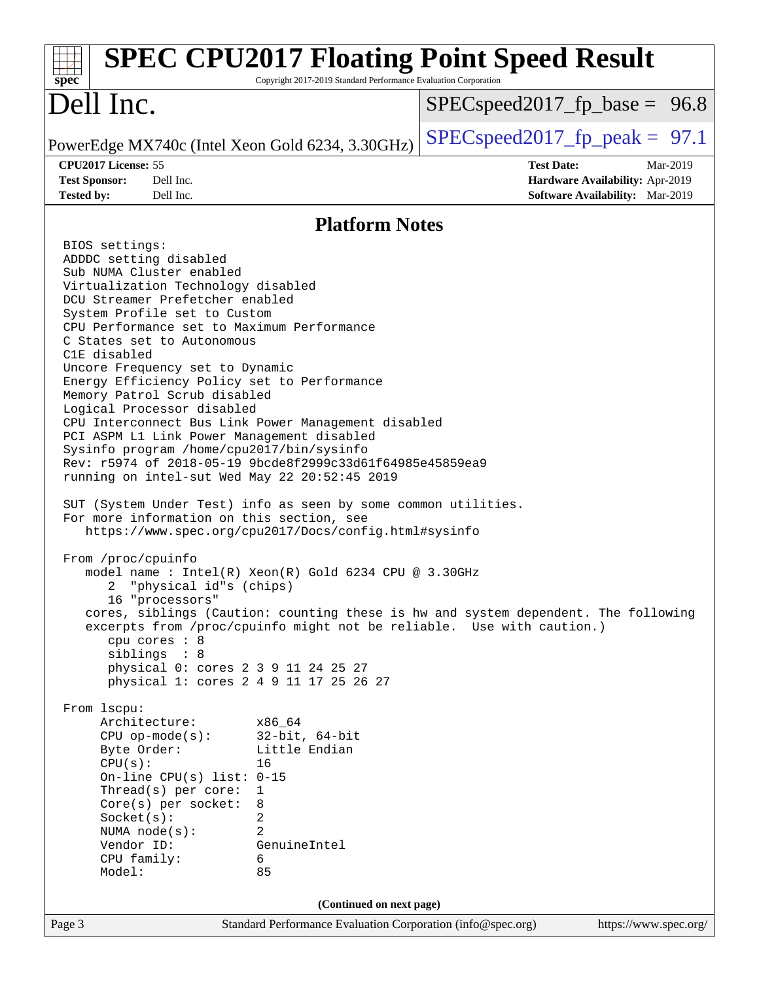| $spec^*$                                                                                                                                                                                                                                                                                                                                                                                                                                                                                                                                                                                                                                                                                                                                                                                                                                                                                                                                                                                                                                                                                                                                                                                                                                                                                                                                                 | Copyright 2017-2019 Standard Performance Evaluation Corporation                                                | <b>SPEC CPU2017 Floating Point Speed Result</b>                                                                                                             |
|----------------------------------------------------------------------------------------------------------------------------------------------------------------------------------------------------------------------------------------------------------------------------------------------------------------------------------------------------------------------------------------------------------------------------------------------------------------------------------------------------------------------------------------------------------------------------------------------------------------------------------------------------------------------------------------------------------------------------------------------------------------------------------------------------------------------------------------------------------------------------------------------------------------------------------------------------------------------------------------------------------------------------------------------------------------------------------------------------------------------------------------------------------------------------------------------------------------------------------------------------------------------------------------------------------------------------------------------------------|----------------------------------------------------------------------------------------------------------------|-------------------------------------------------------------------------------------------------------------------------------------------------------------|
| Dell Inc.                                                                                                                                                                                                                                                                                                                                                                                                                                                                                                                                                                                                                                                                                                                                                                                                                                                                                                                                                                                                                                                                                                                                                                                                                                                                                                                                                |                                                                                                                | $SPEC speed2017_f p\_base = 96.8$                                                                                                                           |
| PowerEdge MX740c (Intel Xeon Gold 6234, 3.30GHz)                                                                                                                                                                                                                                                                                                                                                                                                                                                                                                                                                                                                                                                                                                                                                                                                                                                                                                                                                                                                                                                                                                                                                                                                                                                                                                         |                                                                                                                | $SPEC speed2017_fp\_peak = 97.1$                                                                                                                            |
| CPU2017 License: 55                                                                                                                                                                                                                                                                                                                                                                                                                                                                                                                                                                                                                                                                                                                                                                                                                                                                                                                                                                                                                                                                                                                                                                                                                                                                                                                                      |                                                                                                                | <b>Test Date:</b><br>Mar-2019                                                                                                                               |
| <b>Test Sponsor:</b><br>Dell Inc.<br><b>Tested by:</b><br>Dell Inc.                                                                                                                                                                                                                                                                                                                                                                                                                                                                                                                                                                                                                                                                                                                                                                                                                                                                                                                                                                                                                                                                                                                                                                                                                                                                                      |                                                                                                                | Hardware Availability: Apr-2019<br>Software Availability: Mar-2019                                                                                          |
|                                                                                                                                                                                                                                                                                                                                                                                                                                                                                                                                                                                                                                                                                                                                                                                                                                                                                                                                                                                                                                                                                                                                                                                                                                                                                                                                                          | <b>Platform Notes</b>                                                                                          |                                                                                                                                                             |
| BIOS settings:<br>ADDDC setting disabled<br>Sub NUMA Cluster enabled<br>Virtualization Technology disabled<br>DCU Streamer Prefetcher enabled<br>System Profile set to Custom<br>CPU Performance set to Maximum Performance<br>C States set to Autonomous<br>C1E disabled<br>Uncore Frequency set to Dynamic<br>Energy Efficiency Policy set to Performance<br>Memory Patrol Scrub disabled<br>Logical Processor disabled<br>CPU Interconnect Bus Link Power Management disabled<br>PCI ASPM L1 Link Power Management disabled<br>Sysinfo program /home/cpu2017/bin/sysinfo<br>Rev: r5974 of 2018-05-19 9bcde8f2999c33d61f64985e45859ea9<br>running on intel-sut Wed May 22 20:52:45 2019<br>SUT (System Under Test) info as seen by some common utilities.<br>For more information on this section, see<br>https://www.spec.org/cpu2017/Docs/config.html#sysinfo<br>From /proc/cpuinfo<br>model name : Intel(R) Xeon(R) Gold 6234 CPU @ 3.30GHz<br>"physical id"s (chips)<br>2<br>16 "processors"<br>cpu cores : 8<br>siblings : 8<br>physical 0: cores 2 3 9 11 24 25 27<br>physical 1: cores 2 4 9 11 17 25 26 27<br>From 1scpu:<br>Architecture:<br>$CPU$ op-mode(s):<br>Byte Order:<br>CPU(s):<br>On-line CPU(s) list: $0-15$<br>Thread(s) per core:<br>Core(s) per socket:<br>Socket(s):<br>NUMA $node(s):$<br>Vendor ID:<br>CPU family:<br>Model: | x86 64<br>$32$ -bit, $64$ -bit<br>Little Endian<br>16<br>$\mathbf 1$<br>8<br>2<br>2<br>GenuineIntel<br>6<br>85 | cores, siblings (Caution: counting these is hw and system dependent. The following<br>excerpts from /proc/cpuinfo might not be reliable. Use with caution.) |
|                                                                                                                                                                                                                                                                                                                                                                                                                                                                                                                                                                                                                                                                                                                                                                                                                                                                                                                                                                                                                                                                                                                                                                                                                                                                                                                                                          | (Continued on next page)                                                                                       |                                                                                                                                                             |
| Page 3                                                                                                                                                                                                                                                                                                                                                                                                                                                                                                                                                                                                                                                                                                                                                                                                                                                                                                                                                                                                                                                                                                                                                                                                                                                                                                                                                   | Standard Performance Evaluation Corporation (info@spec.org)                                                    | https://www.spec.org/                                                                                                                                       |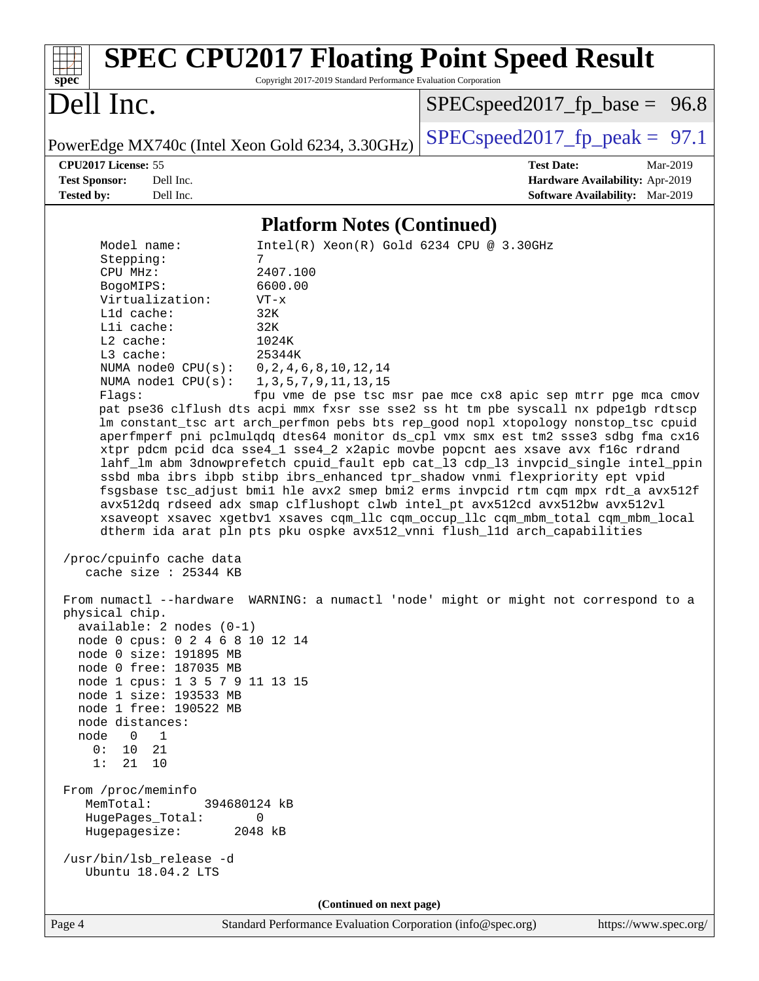| <b>SPEC CPU2017 Floating Point Speed Result</b><br>Copyright 2017-2019 Standard Performance Evaluation Corporation<br>spec <sup>®</sup>                                                                                                                                                                                                                                                                                                                                                                                                                                                                                                                                                                                                                                                                                                                                                                                                                                                                                                                                                                                                                                                                                                                                                                                                                                                                                                                                                                                                                                                                                                                                                                                                                                                                                                                                      |                                                               |
|------------------------------------------------------------------------------------------------------------------------------------------------------------------------------------------------------------------------------------------------------------------------------------------------------------------------------------------------------------------------------------------------------------------------------------------------------------------------------------------------------------------------------------------------------------------------------------------------------------------------------------------------------------------------------------------------------------------------------------------------------------------------------------------------------------------------------------------------------------------------------------------------------------------------------------------------------------------------------------------------------------------------------------------------------------------------------------------------------------------------------------------------------------------------------------------------------------------------------------------------------------------------------------------------------------------------------------------------------------------------------------------------------------------------------------------------------------------------------------------------------------------------------------------------------------------------------------------------------------------------------------------------------------------------------------------------------------------------------------------------------------------------------------------------------------------------------------------------------------------------------|---------------------------------------------------------------|
| Dell Inc.                                                                                                                                                                                                                                                                                                                                                                                                                                                                                                                                                                                                                                                                                                                                                                                                                                                                                                                                                                                                                                                                                                                                                                                                                                                                                                                                                                                                                                                                                                                                                                                                                                                                                                                                                                                                                                                                    | $SPEC speed2017_f p\_base = 96.8$                             |
| PowerEdge MX740c (Intel Xeon Gold 6234, 3.30GHz)                                                                                                                                                                                                                                                                                                                                                                                                                                                                                                                                                                                                                                                                                                                                                                                                                                                                                                                                                                                                                                                                                                                                                                                                                                                                                                                                                                                                                                                                                                                                                                                                                                                                                                                                                                                                                             | $SPEC speed2017_fp\_peak = 97.1$                              |
| CPU2017 License: 55                                                                                                                                                                                                                                                                                                                                                                                                                                                                                                                                                                                                                                                                                                                                                                                                                                                                                                                                                                                                                                                                                                                                                                                                                                                                                                                                                                                                                                                                                                                                                                                                                                                                                                                                                                                                                                                          | <b>Test Date:</b><br>Mar-2019                                 |
| Dell Inc.<br><b>Test Sponsor:</b>                                                                                                                                                                                                                                                                                                                                                                                                                                                                                                                                                                                                                                                                                                                                                                                                                                                                                                                                                                                                                                                                                                                                                                                                                                                                                                                                                                                                                                                                                                                                                                                                                                                                                                                                                                                                                                            | Hardware Availability: Apr-2019                               |
| Dell Inc.<br><b>Tested by:</b>                                                                                                                                                                                                                                                                                                                                                                                                                                                                                                                                                                                                                                                                                                                                                                                                                                                                                                                                                                                                                                                                                                                                                                                                                                                                                                                                                                                                                                                                                                                                                                                                                                                                                                                                                                                                                                               | Software Availability: Mar-2019                               |
| <b>Platform Notes (Continued)</b>                                                                                                                                                                                                                                                                                                                                                                                                                                                                                                                                                                                                                                                                                                                                                                                                                                                                                                                                                                                                                                                                                                                                                                                                                                                                                                                                                                                                                                                                                                                                                                                                                                                                                                                                                                                                                                            |                                                               |
| Intel(R) Xeon(R) Gold 6234 CPU @ 3.30GHz<br>Model name:<br>Stepping:<br>7<br>2407.100<br>CPU MHz:<br>6600.00<br>BogoMIPS:<br>Virtualization:<br>$VT - x$<br>L1d cache:<br>32K<br>Lli cache:<br>32K<br>L2 cache:<br>1024K<br>25344K<br>L3 cache:<br>NUMA node0 CPU(s):<br>0, 2, 4, 6, 8, 10, 12, 14<br>NUMA $node1$ $CPU(s):$<br>1, 3, 5, 7, 9, 11, 13, 15<br>Flags:<br>pat pse36 clflush dts acpi mmx fxsr sse sse2 ss ht tm pbe syscall nx pdpe1gb rdtscp<br>lm constant_tsc art arch_perfmon pebs bts rep_good nopl xtopology nonstop_tsc cpuid<br>aperfmperf pni pclmulqdq dtes64 monitor ds_cpl vmx smx est tm2 ssse3 sdbg fma cx16<br>xtpr pdcm pcid dca sse4_1 sse4_2 x2apic movbe popcnt aes xsave avx f16c rdrand<br>lahf_lm abm 3dnowprefetch cpuid_fault epb cat_13 cdp_13 invpcid_single intel_ppin<br>ssbd mba ibrs ibpb stibp ibrs_enhanced tpr_shadow vnmi flexpriority ept vpid<br>fsgsbase tsc_adjust bmil hle avx2 smep bmi2 erms invpcid rtm cqm mpx rdt_a avx512f<br>avx512dq rdseed adx smap clflushopt clwb intel_pt avx512cd avx512bw avx512vl<br>xsaveopt xsavec xgetbvl xsaves cqm_llc cqm_occup_llc cqm_mbm_total cqm_mbm_local<br>dtherm ida arat pln pts pku ospke avx512_vnni flush_lld arch_capabilities<br>/proc/cpuinfo cache data<br>cache size $: 25344$ KB<br>From numactl --hardware WARNING: a numactl 'node' might or might not correspond to a<br>physical chip.<br>$available: 2 nodes (0-1)$<br>node 0 cpus: 0 2 4 6 8 10 12 14<br>node 0 size: 191895 MB<br>node 0 free: 187035 MB<br>node 1 cpus: 1 3 5 7 9 11 13 15<br>node 1 size: 193533 MB<br>node 1 free: 190522 MB<br>node distances:<br>node 0<br>$\mathbf{1}$<br>0: 10 21<br>1: 21 10<br>From /proc/meminfo<br>MemTotal:<br>394680124 kB<br>HugePages_Total:<br>0<br>Hugepagesize:<br>2048 kB<br>/usr/bin/lsb_release -d<br>Ubuntu 18.04.2 LTS<br>(Continued on next page) | fpu vme de pse tsc msr pae mce cx8 apic sep mtrr pge mca cmov |
|                                                                                                                                                                                                                                                                                                                                                                                                                                                                                                                                                                                                                                                                                                                                                                                                                                                                                                                                                                                                                                                                                                                                                                                                                                                                                                                                                                                                                                                                                                                                                                                                                                                                                                                                                                                                                                                                              |                                                               |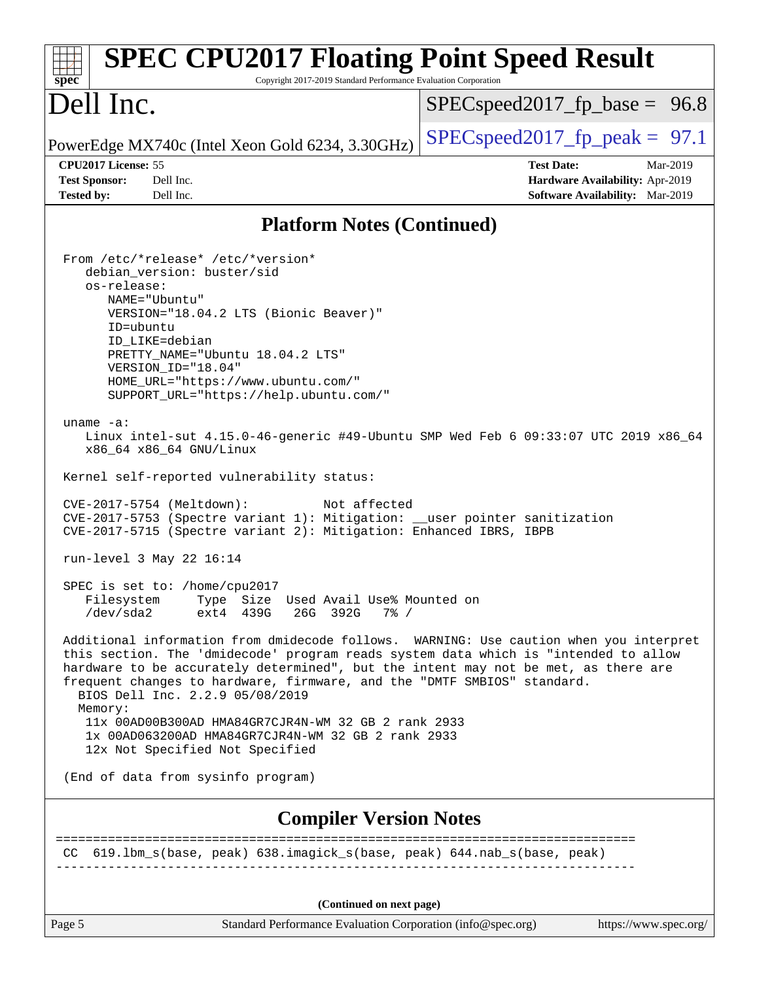| <b>SPEC CPU2017 Floating Point Speed Result</b>                                                                                                                                                                                                                                                                                                                                                                                                                                                                                                                                                                                                                                                                                                                                                                                                                                                                                                                                                                                                                                                                                                                                                                                                                                                                                                                                                                                                               |                                                                                                     |
|---------------------------------------------------------------------------------------------------------------------------------------------------------------------------------------------------------------------------------------------------------------------------------------------------------------------------------------------------------------------------------------------------------------------------------------------------------------------------------------------------------------------------------------------------------------------------------------------------------------------------------------------------------------------------------------------------------------------------------------------------------------------------------------------------------------------------------------------------------------------------------------------------------------------------------------------------------------------------------------------------------------------------------------------------------------------------------------------------------------------------------------------------------------------------------------------------------------------------------------------------------------------------------------------------------------------------------------------------------------------------------------------------------------------------------------------------------------|-----------------------------------------------------------------------------------------------------|
| spec <sup>®</sup><br>Copyright 2017-2019 Standard Performance Evaluation Corporation<br>Dell Inc.                                                                                                                                                                                                                                                                                                                                                                                                                                                                                                                                                                                                                                                                                                                                                                                                                                                                                                                                                                                                                                                                                                                                                                                                                                                                                                                                                             | $SPEC speed2017_f p\_base = 96.8$                                                                   |
| PowerEdge MX740c (Intel Xeon Gold 6234, 3.30GHz)                                                                                                                                                                                                                                                                                                                                                                                                                                                                                                                                                                                                                                                                                                                                                                                                                                                                                                                                                                                                                                                                                                                                                                                                                                                                                                                                                                                                              | $SPEC speed2017_fp\_peak = 97.1$                                                                    |
| CPU2017 License: 55<br><b>Test Sponsor:</b><br>Dell Inc.<br><b>Tested by:</b><br>Dell Inc.                                                                                                                                                                                                                                                                                                                                                                                                                                                                                                                                                                                                                                                                                                                                                                                                                                                                                                                                                                                                                                                                                                                                                                                                                                                                                                                                                                    | <b>Test Date:</b><br>Mar-2019<br>Hardware Availability: Apr-2019<br>Software Availability: Mar-2019 |
| <b>Platform Notes (Continued)</b>                                                                                                                                                                                                                                                                                                                                                                                                                                                                                                                                                                                                                                                                                                                                                                                                                                                                                                                                                                                                                                                                                                                                                                                                                                                                                                                                                                                                                             |                                                                                                     |
| From /etc/*release* /etc/*version*<br>debian_version: buster/sid<br>os-release:<br>NAME="Ubuntu"<br>VERSION="18.04.2 LTS (Bionic Beaver)"<br>ID=ubuntu<br>ID LIKE=debian<br>PRETTY_NAME="Ubuntu 18.04.2 LTS"<br>VERSION_ID="18.04"<br>HOME_URL="https://www.ubuntu.com/"<br>SUPPORT_URL="https://help.ubuntu.com/"<br>uname $-a$ :<br>Linux intel-sut 4.15.0-46-generic #49-Ubuntu SMP Wed Feb 6 09:33:07 UTC 2019 x86_64<br>x86_64 x86_64 GNU/Linux<br>Kernel self-reported vulnerability status:<br>CVE-2017-5754 (Meltdown):<br>Not affected<br>CVE-2017-5753 (Spectre variant 1): Mitigation: __user pointer sanitization<br>CVE-2017-5715 (Spectre variant 2): Mitigation: Enhanced IBRS, IBPB<br>run-level 3 May 22 16:14<br>SPEC is set to: /home/cpu2017<br>Type Size Used Avail Use% Mounted on<br>Filesystem<br>/dev/sda2<br>ext4 439G<br>26G 392G<br>$7\%$ /<br>Additional information from dmidecode follows. WARNING: Use caution when you interpret<br>this section. The 'dmidecode' program reads system data which is "intended to allow<br>hardware to be accurately determined", but the intent may not be met, as there are<br>frequent changes to hardware, firmware, and the "DMTF SMBIOS" standard.<br>BIOS Dell Inc. 2.2.9 05/08/2019<br>Memory:<br>11x 00AD00B300AD HMA84GR7CJR4N-WM 32 GB 2 rank 2933<br>1x 00AD063200AD HMA84GR7CJR4N-WM 32 GB 2 rank 2933<br>12x Not Specified Not Specified<br>(End of data from sysinfo program) |                                                                                                     |
| <b>Compiler Version Notes</b>                                                                                                                                                                                                                                                                                                                                                                                                                                                                                                                                                                                                                                                                                                                                                                                                                                                                                                                                                                                                                                                                                                                                                                                                                                                                                                                                                                                                                                 |                                                                                                     |
| CC 619.1bm_s(base, peak) 638.imagick_s(base, peak) 644.nab_s(base, peak)                                                                                                                                                                                                                                                                                                                                                                                                                                                                                                                                                                                                                                                                                                                                                                                                                                                                                                                                                                                                                                                                                                                                                                                                                                                                                                                                                                                      | =========================                                                                           |
| (Continued on next page)                                                                                                                                                                                                                                                                                                                                                                                                                                                                                                                                                                                                                                                                                                                                                                                                                                                                                                                                                                                                                                                                                                                                                                                                                                                                                                                                                                                                                                      |                                                                                                     |

Page 5 Standard Performance Evaluation Corporation [\(info@spec.org\)](mailto:info@spec.org) <https://www.spec.org/>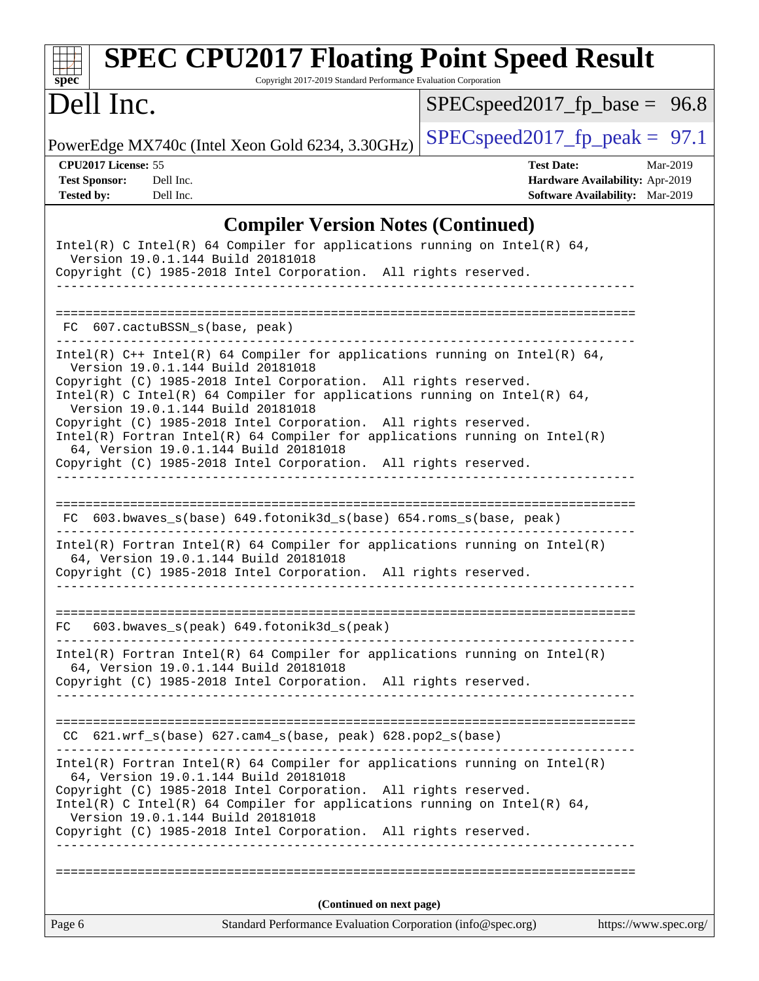| <b>SPEC CPU2017 Floating Point Speed Result</b><br>Copyright 2017-2019 Standard Performance Evaluation Corporation<br>$spec^*$                                                                                                                                                                                                                                                                                                                                                                                                                                       |                                                                                                            |
|----------------------------------------------------------------------------------------------------------------------------------------------------------------------------------------------------------------------------------------------------------------------------------------------------------------------------------------------------------------------------------------------------------------------------------------------------------------------------------------------------------------------------------------------------------------------|------------------------------------------------------------------------------------------------------------|
| Dell Inc.                                                                                                                                                                                                                                                                                                                                                                                                                                                                                                                                                            | $SPEC speed2017_fp\_base = 96.8$                                                                           |
| PowerEdge MX740c (Intel Xeon Gold 6234, 3.30GHz)                                                                                                                                                                                                                                                                                                                                                                                                                                                                                                                     | $SPEC speed2017_fp\_peak = 97.1$                                                                           |
| CPU2017 License: 55<br><b>Test Sponsor:</b><br>Dell Inc.<br><b>Tested by:</b><br>Dell Inc.                                                                                                                                                                                                                                                                                                                                                                                                                                                                           | <b>Test Date:</b><br>Mar-2019<br>Hardware Availability: Apr-2019<br><b>Software Availability:</b> Mar-2019 |
| <b>Compiler Version Notes (Continued)</b>                                                                                                                                                                                                                                                                                                                                                                                                                                                                                                                            |                                                                                                            |
| Intel(R) C Intel(R) 64 Compiler for applications running on Intel(R) 64,<br>Version 19.0.1.144 Build 20181018<br>Copyright (C) 1985-2018 Intel Corporation. All rights reserved.                                                                                                                                                                                                                                                                                                                                                                                     |                                                                                                            |
| ===================<br>607.cactuBSSN_s(base, peak)<br>FC.                                                                                                                                                                                                                                                                                                                                                                                                                                                                                                            |                                                                                                            |
| Intel(R) $C++$ Intel(R) 64 Compiler for applications running on Intel(R) 64,<br>Version 19.0.1.144 Build 20181018<br>Copyright (C) 1985-2018 Intel Corporation. All rights reserved.<br>Intel(R) C Intel(R) 64 Compiler for applications running on Intel(R) 64,<br>Version 19.0.1.144 Build 20181018<br>Copyright (C) 1985-2018 Intel Corporation. All rights reserved.<br>$Intel(R)$ Fortran Intel(R) 64 Compiler for applications running on Intel(R)<br>64, Version 19.0.1.144 Build 20181018<br>Copyright (C) 1985-2018 Intel Corporation. All rights reserved. |                                                                                                            |
| FC 603.bwaves_s(base) 649.fotonik3d_s(base) 654.roms_s(base, peak)                                                                                                                                                                                                                                                                                                                                                                                                                                                                                                   |                                                                                                            |
| $Intel(R)$ Fortran Intel(R) 64 Compiler for applications running on Intel(R)<br>64, Version 19.0.1.144 Build 20181018<br>Copyright (C) 1985-2018 Intel Corporation. All rights reserved.                                                                                                                                                                                                                                                                                                                                                                             |                                                                                                            |
| 603.bwaves_s(peak) 649.fotonik3d_s(peak)<br>FC                                                                                                                                                                                                                                                                                                                                                                                                                                                                                                                       |                                                                                                            |
| $Intel(R)$ Fortran Intel(R) 64 Compiler for applications running on Intel(R)<br>64, Version 19.0.1.144 Build 20181018<br>Copyright (C) 1985-2018 Intel Corporation. All rights reserved.                                                                                                                                                                                                                                                                                                                                                                             |                                                                                                            |
| $CC$ 621.wrf_s(base) 627.cam4_s(base, peak) 628.pop2_s(base)                                                                                                                                                                                                                                                                                                                                                                                                                                                                                                         |                                                                                                            |
| $Intel(R)$ Fortran Intel(R) 64 Compiler for applications running on Intel(R)<br>64, Version 19.0.1.144 Build 20181018<br>Copyright (C) 1985-2018 Intel Corporation. All rights reserved.<br>Intel(R) C Intel(R) 64 Compiler for applications running on Intel(R) 64,<br>Version 19.0.1.144 Build 20181018<br>Copyright (C) 1985-2018 Intel Corporation. All rights reserved.<br>------------                                                                                                                                                                         |                                                                                                            |
|                                                                                                                                                                                                                                                                                                                                                                                                                                                                                                                                                                      |                                                                                                            |
| (Continued on next page)<br>Page 6<br>Standard Performance Evaluation Corporation (info@spec.org)                                                                                                                                                                                                                                                                                                                                                                                                                                                                    | https://www.spec.org/                                                                                      |
|                                                                                                                                                                                                                                                                                                                                                                                                                                                                                                                                                                      |                                                                                                            |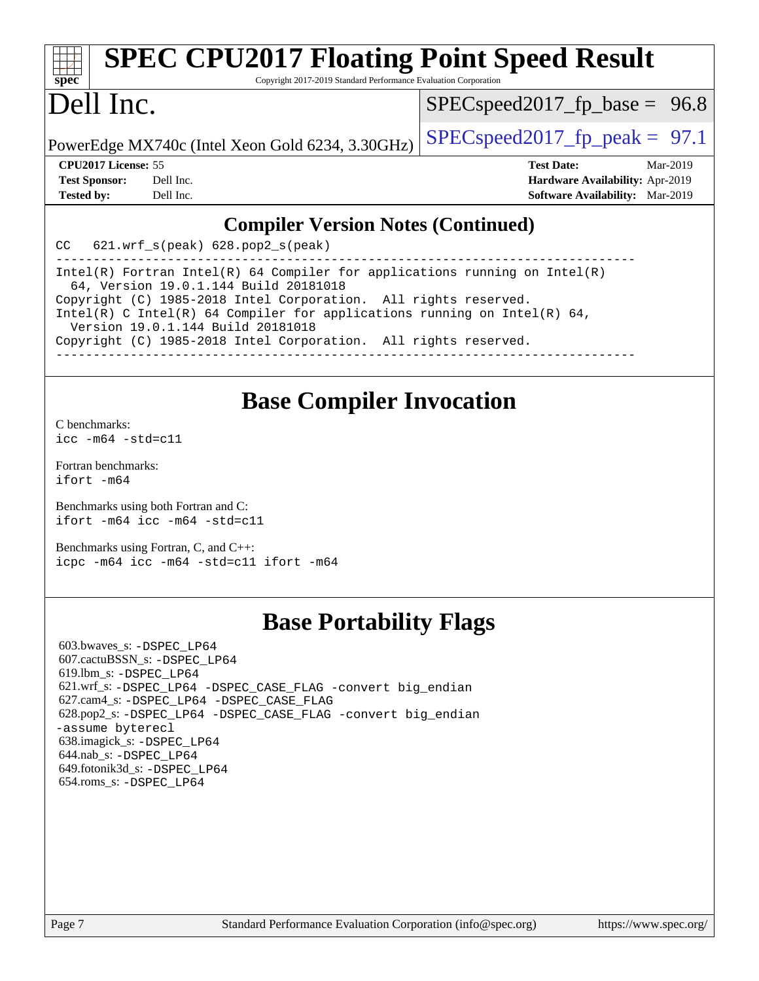| <b>SPEC CPU2017 Floating Point Speed Result</b>                             |                                  |  |
|-----------------------------------------------------------------------------|----------------------------------|--|
| $spec^*$<br>Copyright 2017-2019 Standard Performance Evaluation Corporation |                                  |  |
| Dell Inc.                                                                   | $SPEC speed2017_fp\_base = 96.8$ |  |
| PowerEdge MX740c (Intel Xeon Gold 6234, 3.30GHz)                            | $SPEC speed2017_fpcak = 97.1$    |  |
| <b>CPU2017 License: 55</b>                                                  | Mar-2019<br><b>Test Date:</b>    |  |

**[Test Sponsor:](http://www.spec.org/auto/cpu2017/Docs/result-fields.html#TestSponsor)** Dell Inc. **[Hardware Availability:](http://www.spec.org/auto/cpu2017/Docs/result-fields.html#HardwareAvailability)** Apr-2019 **[Tested by:](http://www.spec.org/auto/cpu2017/Docs/result-fields.html#Testedby)** Dell Inc. **[Software Availability:](http://www.spec.org/auto/cpu2017/Docs/result-fields.html#SoftwareAvailability)** Mar-2019

#### **[Compiler Version Notes \(Continued\)](http://www.spec.org/auto/cpu2017/Docs/result-fields.html#CompilerVersionNotes)**

CC 621.wrf\_s(peak) 628.pop2\_s(peak)

------------------------------------------------------------------------------ Intel(R) Fortran Intel(R) 64 Compiler for applications running on Intel(R) 64, Version 19.0.1.144 Build 20181018 Copyright (C) 1985-2018 Intel Corporation. All rights reserved. Intel(R) C Intel(R) 64 Compiler for applications running on Intel(R) 64, Version 19.0.1.144 Build 20181018 Copyright (C) 1985-2018 Intel Corporation. All rights reserved. ------------------------------------------------------------------------------

### **[Base Compiler Invocation](http://www.spec.org/auto/cpu2017/Docs/result-fields.html#BaseCompilerInvocation)**

[C benchmarks](http://www.spec.org/auto/cpu2017/Docs/result-fields.html#Cbenchmarks): [icc -m64 -std=c11](http://www.spec.org/cpu2017/results/res2019q3/cpu2017-20190624-15409.flags.html#user_CCbase_intel_icc_64bit_c11_33ee0cdaae7deeeab2a9725423ba97205ce30f63b9926c2519791662299b76a0318f32ddfffdc46587804de3178b4f9328c46fa7c2b0cd779d7a61945c91cd35)

[Fortran benchmarks](http://www.spec.org/auto/cpu2017/Docs/result-fields.html#Fortranbenchmarks): [ifort -m64](http://www.spec.org/cpu2017/results/res2019q3/cpu2017-20190624-15409.flags.html#user_FCbase_intel_ifort_64bit_24f2bb282fbaeffd6157abe4f878425411749daecae9a33200eee2bee2fe76f3b89351d69a8130dd5949958ce389cf37ff59a95e7a40d588e8d3a57e0c3fd751)

[Benchmarks using both Fortran and C](http://www.spec.org/auto/cpu2017/Docs/result-fields.html#BenchmarksusingbothFortranandC): [ifort -m64](http://www.spec.org/cpu2017/results/res2019q3/cpu2017-20190624-15409.flags.html#user_CC_FCbase_intel_ifort_64bit_24f2bb282fbaeffd6157abe4f878425411749daecae9a33200eee2bee2fe76f3b89351d69a8130dd5949958ce389cf37ff59a95e7a40d588e8d3a57e0c3fd751) [icc -m64 -std=c11](http://www.spec.org/cpu2017/results/res2019q3/cpu2017-20190624-15409.flags.html#user_CC_FCbase_intel_icc_64bit_c11_33ee0cdaae7deeeab2a9725423ba97205ce30f63b9926c2519791662299b76a0318f32ddfffdc46587804de3178b4f9328c46fa7c2b0cd779d7a61945c91cd35)

[Benchmarks using Fortran, C, and C++:](http://www.spec.org/auto/cpu2017/Docs/result-fields.html#BenchmarksusingFortranCandCXX) [icpc -m64](http://www.spec.org/cpu2017/results/res2019q3/cpu2017-20190624-15409.flags.html#user_CC_CXX_FCbase_intel_icpc_64bit_4ecb2543ae3f1412ef961e0650ca070fec7b7afdcd6ed48761b84423119d1bf6bdf5cad15b44d48e7256388bc77273b966e5eb805aefd121eb22e9299b2ec9d9) [icc -m64 -std=c11](http://www.spec.org/cpu2017/results/res2019q3/cpu2017-20190624-15409.flags.html#user_CC_CXX_FCbase_intel_icc_64bit_c11_33ee0cdaae7deeeab2a9725423ba97205ce30f63b9926c2519791662299b76a0318f32ddfffdc46587804de3178b4f9328c46fa7c2b0cd779d7a61945c91cd35) [ifort -m64](http://www.spec.org/cpu2017/results/res2019q3/cpu2017-20190624-15409.flags.html#user_CC_CXX_FCbase_intel_ifort_64bit_24f2bb282fbaeffd6157abe4f878425411749daecae9a33200eee2bee2fe76f3b89351d69a8130dd5949958ce389cf37ff59a95e7a40d588e8d3a57e0c3fd751)

# **[Base Portability Flags](http://www.spec.org/auto/cpu2017/Docs/result-fields.html#BasePortabilityFlags)**

 603.bwaves\_s: [-DSPEC\\_LP64](http://www.spec.org/cpu2017/results/res2019q3/cpu2017-20190624-15409.flags.html#suite_basePORTABILITY603_bwaves_s_DSPEC_LP64) 607.cactuBSSN\_s: [-DSPEC\\_LP64](http://www.spec.org/cpu2017/results/res2019q3/cpu2017-20190624-15409.flags.html#suite_basePORTABILITY607_cactuBSSN_s_DSPEC_LP64) 619.lbm\_s: [-DSPEC\\_LP64](http://www.spec.org/cpu2017/results/res2019q3/cpu2017-20190624-15409.flags.html#suite_basePORTABILITY619_lbm_s_DSPEC_LP64) 621.wrf\_s: [-DSPEC\\_LP64](http://www.spec.org/cpu2017/results/res2019q3/cpu2017-20190624-15409.flags.html#suite_basePORTABILITY621_wrf_s_DSPEC_LP64) [-DSPEC\\_CASE\\_FLAG](http://www.spec.org/cpu2017/results/res2019q3/cpu2017-20190624-15409.flags.html#b621.wrf_s_baseCPORTABILITY_DSPEC_CASE_FLAG) [-convert big\\_endian](http://www.spec.org/cpu2017/results/res2019q3/cpu2017-20190624-15409.flags.html#user_baseFPORTABILITY621_wrf_s_convert_big_endian_c3194028bc08c63ac5d04de18c48ce6d347e4e562e8892b8bdbdc0214820426deb8554edfa529a3fb25a586e65a3d812c835984020483e7e73212c4d31a38223) 627.cam4\_s: [-DSPEC\\_LP64](http://www.spec.org/cpu2017/results/res2019q3/cpu2017-20190624-15409.flags.html#suite_basePORTABILITY627_cam4_s_DSPEC_LP64) [-DSPEC\\_CASE\\_FLAG](http://www.spec.org/cpu2017/results/res2019q3/cpu2017-20190624-15409.flags.html#b627.cam4_s_baseCPORTABILITY_DSPEC_CASE_FLAG) 628.pop2\_s: [-DSPEC\\_LP64](http://www.spec.org/cpu2017/results/res2019q3/cpu2017-20190624-15409.flags.html#suite_basePORTABILITY628_pop2_s_DSPEC_LP64) [-DSPEC\\_CASE\\_FLAG](http://www.spec.org/cpu2017/results/res2019q3/cpu2017-20190624-15409.flags.html#b628.pop2_s_baseCPORTABILITY_DSPEC_CASE_FLAG) [-convert big\\_endian](http://www.spec.org/cpu2017/results/res2019q3/cpu2017-20190624-15409.flags.html#user_baseFPORTABILITY628_pop2_s_convert_big_endian_c3194028bc08c63ac5d04de18c48ce6d347e4e562e8892b8bdbdc0214820426deb8554edfa529a3fb25a586e65a3d812c835984020483e7e73212c4d31a38223) [-assume byterecl](http://www.spec.org/cpu2017/results/res2019q3/cpu2017-20190624-15409.flags.html#user_baseFPORTABILITY628_pop2_s_assume_byterecl_7e47d18b9513cf18525430bbf0f2177aa9bf368bc7a059c09b2c06a34b53bd3447c950d3f8d6c70e3faf3a05c8557d66a5798b567902e8849adc142926523472) 638.imagick\_s: [-DSPEC\\_LP64](http://www.spec.org/cpu2017/results/res2019q3/cpu2017-20190624-15409.flags.html#suite_basePORTABILITY638_imagick_s_DSPEC_LP64) 644.nab\_s: [-DSPEC\\_LP64](http://www.spec.org/cpu2017/results/res2019q3/cpu2017-20190624-15409.flags.html#suite_basePORTABILITY644_nab_s_DSPEC_LP64) 649.fotonik3d\_s: [-DSPEC\\_LP64](http://www.spec.org/cpu2017/results/res2019q3/cpu2017-20190624-15409.flags.html#suite_basePORTABILITY649_fotonik3d_s_DSPEC_LP64) 654.roms\_s: [-DSPEC\\_LP64](http://www.spec.org/cpu2017/results/res2019q3/cpu2017-20190624-15409.flags.html#suite_basePORTABILITY654_roms_s_DSPEC_LP64)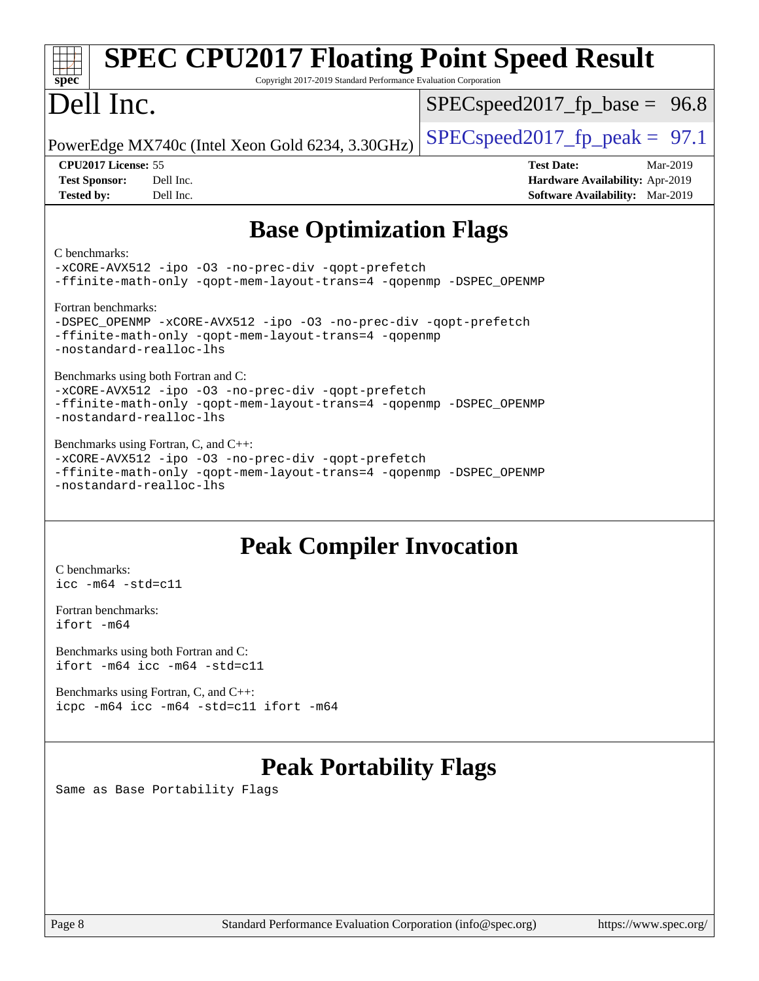| <b>SPEC CPU2017 Floating Point Speed Result</b><br>Copyright 2017-2019 Standard Performance Evaluation Corporation<br>spec <sup>®</sup>                                                      |                                                                                                            |  |  |  |
|----------------------------------------------------------------------------------------------------------------------------------------------------------------------------------------------|------------------------------------------------------------------------------------------------------------|--|--|--|
| Dell Inc.                                                                                                                                                                                    | $SPEC speed2017_fp\_base = 96.8$                                                                           |  |  |  |
| PowerEdge MX740c (Intel Xeon Gold 6234, 3.30GHz)                                                                                                                                             | $SPEC speed2017_fp\_peak = 97.1$                                                                           |  |  |  |
| CPU <sub>2017</sub> License: 55<br><b>Test Sponsor:</b><br>Dell Inc.<br><b>Tested by:</b><br>Dell Inc.                                                                                       | <b>Test Date:</b><br>Mar-2019<br>Hardware Availability: Apr-2019<br><b>Software Availability:</b> Mar-2019 |  |  |  |
| <b>Base Optimization Flags</b>                                                                                                                                                               |                                                                                                            |  |  |  |
| C benchmarks:<br>-xCORE-AVX512 -ipo -03 -no-prec-div -qopt-prefetch<br>-ffinite-math-only -qopt-mem-layout-trans=4 -qopenmp -DSPEC_OPENMP                                                    |                                                                                                            |  |  |  |
| Fortran benchmarks:<br>-DSPEC_OPENMP -xCORE-AVX512 -ipo -03 -no-prec-div -qopt-prefetch<br>-ffinite-math-only -qopt-mem-layout-trans=4 -qopenmp<br>-nostandard-realloc-lhs                   |                                                                                                            |  |  |  |
| Benchmarks using both Fortran and C:<br>-xCORE-AVX512 -ipo -03 -no-prec-div -qopt-prefetch<br>-ffinite-math-only -qopt-mem-layout-trans=4 -qopenmp -DSPEC_OPENMP<br>-nostandard-realloc-lhs  |                                                                                                            |  |  |  |
| Benchmarks using Fortran, C, and C++:<br>-xCORE-AVX512 -ipo -03 -no-prec-div -qopt-prefetch<br>-ffinite-math-only -qopt-mem-layout-trans=4 -qopenmp -DSPEC_OPENMP<br>-nostandard-realloc-lhs |                                                                                                            |  |  |  |
| <b>Peak Compiler Invocation</b><br>C benchmarks:<br>$\text{icc -m64 -std=c11}$                                                                                                               |                                                                                                            |  |  |  |

[Fortran benchmarks](http://www.spec.org/auto/cpu2017/Docs/result-fields.html#Fortranbenchmarks): [ifort -m64](http://www.spec.org/cpu2017/results/res2019q3/cpu2017-20190624-15409.flags.html#user_FCpeak_intel_ifort_64bit_24f2bb282fbaeffd6157abe4f878425411749daecae9a33200eee2bee2fe76f3b89351d69a8130dd5949958ce389cf37ff59a95e7a40d588e8d3a57e0c3fd751)

[Benchmarks using both Fortran and C](http://www.spec.org/auto/cpu2017/Docs/result-fields.html#BenchmarksusingbothFortranandC): [ifort -m64](http://www.spec.org/cpu2017/results/res2019q3/cpu2017-20190624-15409.flags.html#user_CC_FCpeak_intel_ifort_64bit_24f2bb282fbaeffd6157abe4f878425411749daecae9a33200eee2bee2fe76f3b89351d69a8130dd5949958ce389cf37ff59a95e7a40d588e8d3a57e0c3fd751) [icc -m64 -std=c11](http://www.spec.org/cpu2017/results/res2019q3/cpu2017-20190624-15409.flags.html#user_CC_FCpeak_intel_icc_64bit_c11_33ee0cdaae7deeeab2a9725423ba97205ce30f63b9926c2519791662299b76a0318f32ddfffdc46587804de3178b4f9328c46fa7c2b0cd779d7a61945c91cd35)

[Benchmarks using Fortran, C, and C++:](http://www.spec.org/auto/cpu2017/Docs/result-fields.html#BenchmarksusingFortranCandCXX) [icpc -m64](http://www.spec.org/cpu2017/results/res2019q3/cpu2017-20190624-15409.flags.html#user_CC_CXX_FCpeak_intel_icpc_64bit_4ecb2543ae3f1412ef961e0650ca070fec7b7afdcd6ed48761b84423119d1bf6bdf5cad15b44d48e7256388bc77273b966e5eb805aefd121eb22e9299b2ec9d9) [icc -m64 -std=c11](http://www.spec.org/cpu2017/results/res2019q3/cpu2017-20190624-15409.flags.html#user_CC_CXX_FCpeak_intel_icc_64bit_c11_33ee0cdaae7deeeab2a9725423ba97205ce30f63b9926c2519791662299b76a0318f32ddfffdc46587804de3178b4f9328c46fa7c2b0cd779d7a61945c91cd35) [ifort -m64](http://www.spec.org/cpu2017/results/res2019q3/cpu2017-20190624-15409.flags.html#user_CC_CXX_FCpeak_intel_ifort_64bit_24f2bb282fbaeffd6157abe4f878425411749daecae9a33200eee2bee2fe76f3b89351d69a8130dd5949958ce389cf37ff59a95e7a40d588e8d3a57e0c3fd751)

# **[Peak Portability Flags](http://www.spec.org/auto/cpu2017/Docs/result-fields.html#PeakPortabilityFlags)**

Same as Base Portability Flags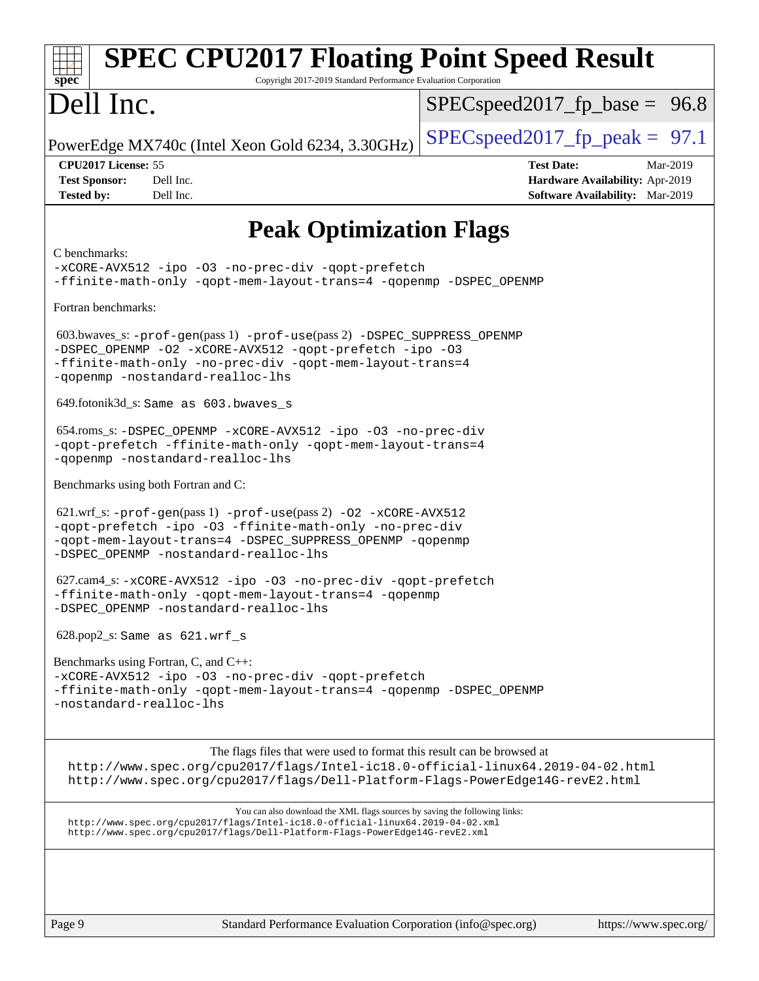| <b>SPEC CPU2017 Floating Point Speed Result</b><br>Copyright 2017-2019 Standard Performance Evaluation Corporation<br>$spec^*$                                                                                                               |                                                                                                            |
|----------------------------------------------------------------------------------------------------------------------------------------------------------------------------------------------------------------------------------------------|------------------------------------------------------------------------------------------------------------|
| Dell Inc.                                                                                                                                                                                                                                    | $SPEC speed2017_f p\_base = 96.8$                                                                          |
| PowerEdge MX740c (Intel Xeon Gold 6234, 3.30GHz)                                                                                                                                                                                             | $SPEC speed2017_fp\_peak = 97.1$                                                                           |
| CPU2017 License: 55<br><b>Test Sponsor:</b><br>Dell Inc.<br>Dell Inc.<br><b>Tested by:</b>                                                                                                                                                   | <b>Test Date:</b><br>Mar-2019<br>Hardware Availability: Apr-2019<br><b>Software Availability:</b> Mar-2019 |
| <b>Peak Optimization Flags</b>                                                                                                                                                                                                               |                                                                                                            |
| C benchmarks:<br>-xCORE-AVX512 -ipo -03 -no-prec-div -qopt-prefetch<br>-ffinite-math-only -qopt-mem-layout-trans=4 -qopenmp -DSPEC_OPENMP                                                                                                    |                                                                                                            |
| Fortran benchmarks:                                                                                                                                                                                                                          |                                                                                                            |
| 603.bwaves_s: -prof-gen(pass 1) -prof-use(pass 2) -DSPEC_SUPPRESS_OPENMP<br>-DSPEC OPENMP -02 -xCORE-AVX512 -qopt-prefetch -ipo -03<br>-ffinite-math-only -no-prec-div -qopt-mem-layout-trans=4<br>-qopenmp -nostandard-realloc-lhs          |                                                                                                            |
| 649.fotonik3d_s: Same as 603.bwaves_s                                                                                                                                                                                                        |                                                                                                            |
| 654.roms_s: -DSPEC_OPENMP -xCORE-AVX512 -ipo -03 -no-prec-div<br>-qopt-prefetch -ffinite-math-only -qopt-mem-layout-trans=4<br>-qopenmp -nostandard-realloc-lhs                                                                              |                                                                                                            |
| Benchmarks using both Fortran and C:                                                                                                                                                                                                         |                                                                                                            |
| 621.wrf_s: -prof-gen(pass 1) -prof-use(pass 2) -02 -xCORE-AVX512<br>-gopt-prefetch -ipo -03 -ffinite-math-only -no-prec-div<br>-qopt-mem-layout-trans=4 -DSPEC_SUPPRESS_OPENMP -qopenmp<br>-DSPEC_OPENMP -nostandard-realloc-lhs             |                                                                                                            |
| 627.cam4_s: -xCORE-AVX512 -ipo -03 -no-prec-div -qopt-prefetch<br>-ffinite-math-only -qopt-mem-layout-trans=4 -qopenmp<br>-DSPEC_OPENMP -nostandard-realloc-lhs                                                                              |                                                                                                            |
| $628.pop2_s$ : Same as $621.wrf_s$                                                                                                                                                                                                           |                                                                                                            |
| Benchmarks using Fortran, C, and C++:                                                                                                                                                                                                        |                                                                                                            |
| -xCORE-AVX512 -ipo -03 -no-prec-div -qopt-prefetch<br>-ffinite-math-only -qopt-mem-layout-trans=4 -qopenmp -DSPEC_OPENMP<br>-nostandard-realloc-lhs                                                                                          |                                                                                                            |
| The flags files that were used to format this result can be browsed at<br>http://www.spec.org/cpu2017/flags/Intel-ic18.0-official-linux64.2019-04-02.html<br>http://www.spec.org/cpu2017/flags/Dell-Platform-Flags-PowerEdge14G-revE2.html   |                                                                                                            |
| You can also download the XML flags sources by saving the following links:<br>http://www.spec.org/cpu2017/flags/Intel-ic18.0-official-linux64.2019-04-02.xml<br>http://www.spec.org/cpu2017/flags/Dell-Platform-Flags-PowerEdge14G-revE2.xml |                                                                                                            |
|                                                                                                                                                                                                                                              |                                                                                                            |
| Standard Performance Evaluation Corporation (info@spec.org)<br>Page 9                                                                                                                                                                        | https://www.spec.org/                                                                                      |